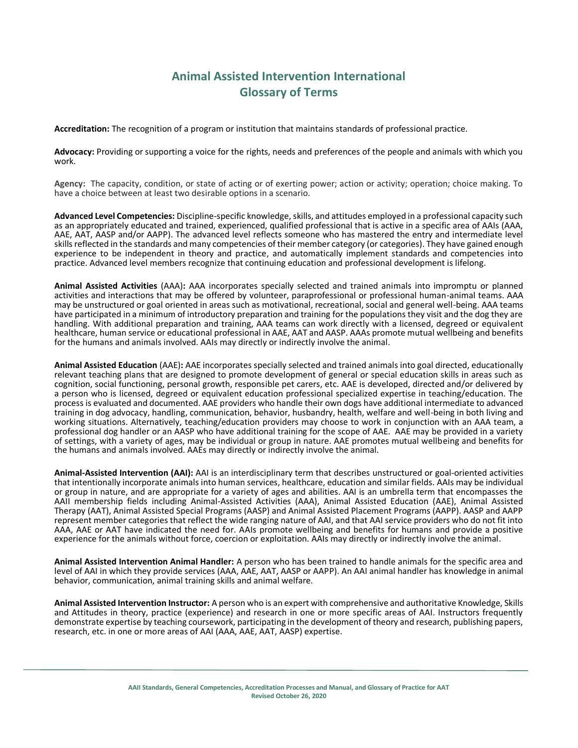## **Animal Assisted Intervention International Glossary of Terms**

**Accreditation:** The recognition of a program or institution that maintains standards of professional practice.

**Advocacy:** Providing or supporting a voice for the rights, needs and preferences of the people and animals with which you work.

**Agency:** The capacity, condition, or state of acting or of exerting power; action or activity; operation; choice making. To have a choice between at least two desirable options in a scenario.

**Advanced Level Competencies:** Discipline-specific knowledge, skills, and attitudes employed in a professional capacity such as an appropriately educated and trained, experienced, qualified professional that is active in a specific area of AAIs (AAA, AAE, AAT, AASP and/or AAPP). The advanced level reflects someone who has mastered the entry and intermediate level skills reflected in the standards and many competencies of their member category (or categories). They have gained enough experience to be independent in theory and practice, and automatically implement standards and competencies into practice. Advanced level members recognize that continuing education and professional development is lifelong.

**Animal Assisted Activities** (AAA)**:** AAA incorporates specially selected and trained animals into impromptu or planned activities and interactions that may be offered by volunteer, paraprofessional or professional human-animal teams. AAA may be unstructured or goal oriented in areas such as motivational, recreational, social and general well-being. AAA teams have participated in a minimum of introductory preparation and training for the populations they visit and the dog they are handling. With additional preparation and training, AAA teams can work directly with a licensed, degreed or equivalent healthcare, human service or educational professional in AAE, AAT and AASP. AAAs promote mutual wellbeing and benefits for the humans and animals involved. AAIs may directly or indirectly involve the animal.

**Animal Assisted Education** (AAE)**:** AAE incorporates specially selected and trained animals into goal directed, educationally relevant teaching plans that are designed to promote development of general or special education skills in areas such as cognition, social functioning, personal growth, responsible pet carers, etc. AAE is developed, directed and/or delivered by a person who is licensed, degreed or equivalent education professional specialized expertise in teaching/education. The process is evaluated and documented. AAE providers who handle their own dogs have additional intermediate to advanced training in dog advocacy, handling, communication, behavior, husbandry, health, welfare and well-being in both living and working situations. Alternatively, teaching/education providers may choose to work in conjunction with an AAA team, a professional dog handler or an AASP who have additional training for the scope of AAE. AAE may be provided in a variety of settings, with a variety of ages, may be individual or group in nature. AAE promotes mutual wellbeing and benefits for the humans and animals involved. AAEs may directly or indirectly involve the animal.

**Animal-Assisted Intervention (AAI):** AAI is an interdisciplinary term that describes unstructured or goal-oriented activities that intentionally incorporate animals into human services, healthcare, education and similar fields. AAIs may be individual or group in nature, and are appropriate for a variety of ages and abilities. AAI is an umbrella term that encompasses the AAII membership fields including Animal-Assisted Activities (AAA), Animal Assisted Education (AAE), Animal Assisted Therapy (AAT), Animal Assisted Special Programs (AASP) and Animal Assisted Placement Programs (AAPP). AASP and AAPP represent member categories that reflect the wide ranging nature of AAI, and that AAI service providers who do not fit into AAA, AAE or AAT have indicated the need for. AAIs promote wellbeing and benefits for humans and provide a positive experience for the animals without force, coercion or exploitation. AAIs may directly or indirectly involve the animal.

**Animal Assisted Intervention Animal Handler:** A person who has been trained to handle animals for the specific area and level of AAI in which they provide services (AAA, AAE, AAT, AASP or AAPP). An AAI animal handler has knowledge in animal behavior, communication, animal training skills and animal welfare.

**Animal Assisted Intervention Instructor:** A person who is an expert with comprehensive and authoritative Knowledge, Skills and Attitudes in theory, practice (experience) and research in one or more specific areas of AAI. Instructors frequently demonstrate expertise by teaching coursework, participating in the development of theory and research, publishing papers, research, etc. in one or more areas of AAI (AAA, AAE, AAT, AASP) expertise.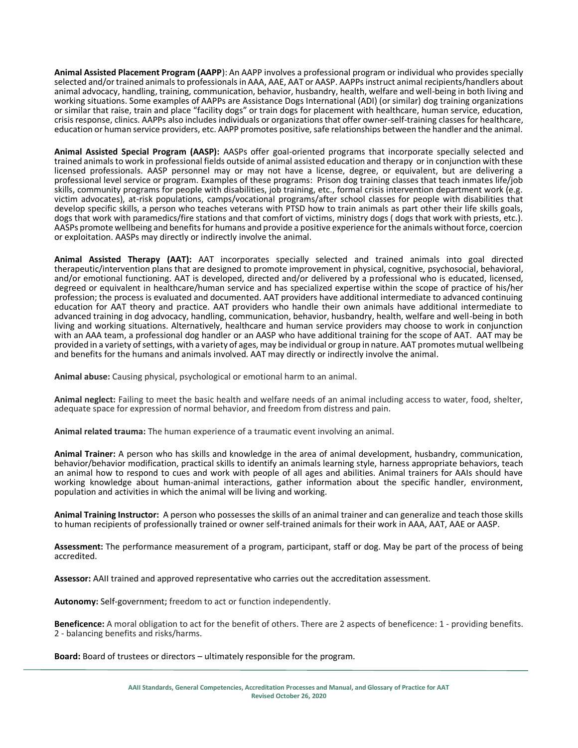**Animal Assisted Placement Program (AAPP**): An AAPP involves a professional program or individual who provides specially selected and/or trained animals to professionals in AAA, AAE, AAT or AASP. AAPPs instruct animal recipients/handlers about animal advocacy, handling, training, communication, behavior, husbandry, health, welfare and well-being in both living and working situations. Some examples of AAPPs are Assistance Dogs International (ADI) (or similar) dog training organizations or similar that raise, train and place "facility dogs" or train dogs for placement with healthcare, human service, education, crisis response, clinics. AAPPs also includes individuals or organizations that offer owner-self-training classes for healthcare, education or human service providers, etc. AAPP promotes positive, safe relationships between the handler and the animal.

**Animal Assisted Special Program (AASP):** AASPs offer goal-oriented programs that incorporate specially selected and trained animals to work in professional fields outside of animal assisted education and therapy or in conjunction with these licensed professionals. AASP personnel may or may not have a license, degree, or equivalent, but are delivering a professional level service or program. Examples of these programs: Prison dog training classes that teach inmates life/job skills, community programs for people with disabilities, job training, etc., formal crisis intervention department work (e.g. victim advocates), at-risk populations, camps/vocational programs/after school classes for people with disabilities that develop specific skills, a person who teaches veterans with PTSD how to train animals as part other their life skills goals, dogs that work with paramedics/fire stations and that comfort of victims, ministry dogs ( dogs that work with priests, etc.). AASPs promote wellbeing and benefits for humans and provide a positive experience for the animals without force, coercion or exploitation. AASPs may directly or indirectly involve the animal.

**Animal Assisted Therapy (AAT):** AAT incorporates specially selected and trained animals into goal directed therapeutic/intervention plans that are designed to promote improvement in physical, cognitive, psychosocial, behavioral, and/or emotional functioning. AAT is developed, directed and/or delivered by a professional who is educated, licensed, degreed or equivalent in healthcare/human service and has specialized expertise within the scope of practice of his/her profession; the process is evaluated and documented. AAT providers have additional intermediate to advanced continuing education for AAT theory and practice. AAT providers who handle their own animals have additional intermediate to advanced training in dog advocacy, handling, communication, behavior, husbandry, health, welfare and well-being in both living and working situations. Alternatively, healthcare and human service providers may choose to work in conjunction with an AAA team, a professional dog handler or an AASP who have additional training for the scope of AAT. AAT may be provided in a variety of settings, with a variety of ages, may be individual or group in nature. AAT promotes mutual wellbeing and benefits for the humans and animals involved. AAT may directly or indirectly involve the animal.

**Animal abuse:** Causing physical, psychological or emotional harm to an animal.

**Animal neglect:** Failing to meet the basic health and welfare needs of an animal including access to water, food, shelter, adequate space for expression of normal behavior, and freedom from distress and pain.

**Animal related trauma:** The human experience of a traumatic event involving an animal.

**Animal Trainer:** A person who has skills and knowledge in the area of animal development, husbandry, communication, behavior/behavior modification, practical skills to identify an animals learning style, harness appropriate behaviors, teach an animal how to respond to cues and work with people of all ages and abilities. Animal trainers for AAIs should have working knowledge about human-animal interactions, gather information about the specific handler, environment, population and activities in which the animal will be living and working.

**Animal Training Instructor:** A person who possesses the skills of an animal trainer and can generalize and teach those skills to human recipients of professionally trained or owner self-trained animals for their work in AAA, AAT, AAE or AASP.

**Assessment:** The performance measurement of a program, participant, staff or dog. May be part of the process of being accredited.

**Assessor:** AAII trained and approved representative who carries out the accreditation assessment.

**Autonomy:** Self-government**;** freedom to act or function independently.

**Beneficence:** A moral obligation to act for the benefit of others. There are 2 aspects of beneficence: 1 - providing benefits. 2 - balancing benefits and risks/harms.

**Board:** Board of trustees or directors – ultimately responsible for the program.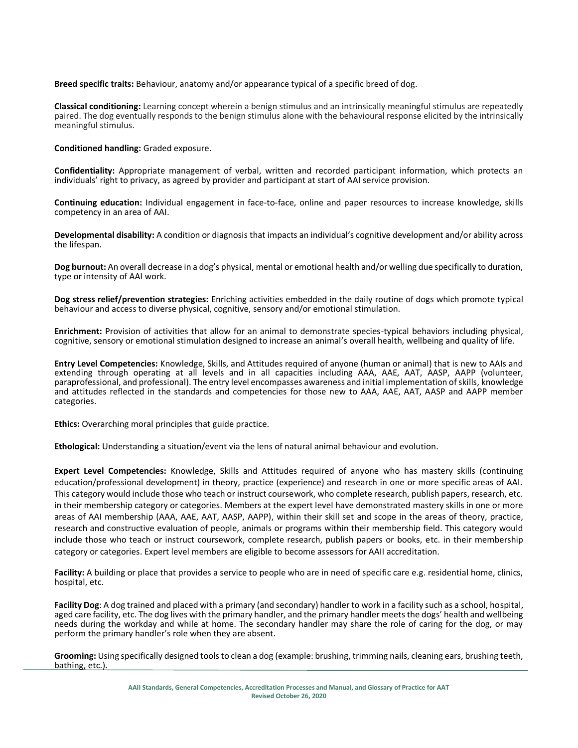## **Breed specific traits:** Behaviour, anatomy and/or appearance typical of a specific breed of dog.

**Classical conditioning:** Learning concept wherein a benign stimulus and an intrinsically meaningful stimulus are repeatedly paired. The dog eventually responds to the benign stimulus alone with the behavioural response elicited by the intrinsically meaningful stimulus.

## **Conditioned handling:** Graded exposure.

**Confidentiality:** Appropriate management of verbal, written and recorded participant information, which protects an individuals' right to privacy, as agreed by provider and participant at start of AAI service provision.

**Continuing education:** Individual engagement in face-to-face, online and paper resources to increase knowledge, skills competency in an area of AAI.

**Developmental disability:** A condition or diagnosis that impacts an individual's cognitive development and/or ability across the lifespan.

**Dog burnout:** An overall decrease in a dog's physical, mental or emotional health and/or welling due specifically to duration, type or intensity of AAI work.

**Dog stress relief/prevention strategies:** Enriching activities embedded in the daily routine of dogs which promote typical behaviour and access to diverse physical, cognitive, sensory and/or emotional stimulation.

**Enrichment:** Provision of activities that allow for an animal to demonstrate species-typical behaviors including physical, cognitive, sensory or emotional stimulation designed to increase an animal's overall health, wellbeing and quality of life.

**Entry Level Competencies:** Knowledge, Skills, and Attitudes required of anyone (human or animal) that is new to AAIs and extending through operating at all levels and in all capacities including AAA, AAE, AAT, AASP, AAPP (volunteer, paraprofessional, and professional). The entry level encompasses awareness and initial implementation of skills, knowledge and attitudes reflected in the standards and competencies for those new to AAA, AAE, AAT, AASP and AAPP member categories.

**Ethics:** Overarching moral principles that guide practice.

**Ethological:** Understanding a situation/event via the lens of natural animal behaviour and evolution.

**Expert Level Competencies:** Knowledge, Skills and Attitudes required of anyone who has mastery skills (continuing education/professional development) in theory, practice (experience) and research in one or more specific areas of AAI. This category would include those who teach or instruct coursework, who complete research, publish papers, research, etc. in their membership category or categories. Members at the expert level have demonstrated mastery skills in one or more areas of AAI membership (AAA, AAE, AAT, AASP, AAPP), within their skill set and scope in the areas of theory, practice, research and constructive evaluation of people, animals or programs within their membership field. This category would include those who teach or instruct coursework, complete research, publish papers or books, etc. in their membership category or categories. Expert level members are eligible to become assessors for AAII accreditation.

**Facility:** A building or place that provides a service to people who are in need of specific care e.g. residential home, clinics, hospital, etc.

**Facility Dog**: A dog trained and placed with a primary (and secondary) handler to work in a facility such as a school, hospital, aged care facility, etc. The dog lives with the primary handler, and the primary handler meets the dogs' health and wellbeing needs during the workday and while at home. The secondary handler may share the role of caring for the dog, or may perform the primary handler's role when they are absent.

**Grooming:** Using specifically designed tools to clean a dog (example: brushing, trimming nails, cleaning ears, brushing teeth, bathing, etc.).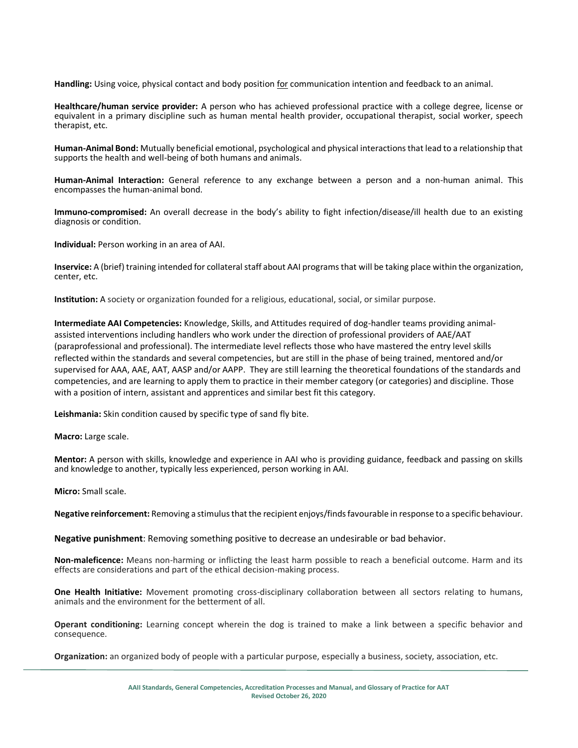**Handling:** Using voice, physical contact and body position for communication intention and feedback to an animal.

**Healthcare/human service provider:** A person who has achieved professional practice with a college degree, license or equivalent in a primary discipline such as human mental health provider, occupational therapist, social worker, speech therapist, etc.

**Human-Animal Bond:** Mutually beneficial emotional, psychological and physical interactions that lead to a relationship that supports the health and well-being of both humans and animals.

**Human-Animal Interaction:** General reference to any exchange between a person and a non-human animal. This encompasses the human-animal bond.

**Immuno-compromised:** An overall decrease in the body's ability to fight infection/disease/ill health due to an existing diagnosis or condition.

**Individual:** Person working in an area of AAI.

**Inservice:** A (brief) training intended for collateral staff about AAI programs that will be taking place within the organization, center, etc.

**Institution:** A society or organization founded for a religious, educational, social, or similar purpose.

**Intermediate AAI Competencies:** Knowledge, Skills, and Attitudes required of dog-handler teams providing animalassisted interventions including handlers who work under the direction of professional providers of AAE/AAT (paraprofessional and professional). The intermediate level reflects those who have mastered the entry level skills reflected within the standards and several competencies, but are still in the phase of being trained, mentored and/or supervised for AAA, AAE, AAT, AASP and/or AAPP. They are still learning the theoretical foundations of the standards and competencies, and are learning to apply them to practice in their member category (or categories) and discipline. Those with a position of intern, assistant and apprentices and similar best fit this category.

**Leishmania:** Skin condition caused by specific type of sand fly bite.

**Macro:** Large scale.

**Mentor:** A person with skills, knowledge and experience in AAI who is providing guidance, feedback and passing on skills and knowledge to another, typically less experienced, person working in AAI.

**Micro:** Small scale.

**Negative reinforcement:** Removing a stimulus that the recipient enjoys/finds favourable in response to a specific behaviour.

**Negative punishment**: Removing something positive to decrease an undesirable or bad behavior.

**Non-maleficence:** Means non-harming or inflicting the least harm possible to reach a beneficial outcome. Harm and its effects are considerations and part of the ethical decision-making process.

**One Health Initiative:** Movement promoting cross-disciplinary collaboration between all sectors relating to humans, animals and the environment for the betterment of all.

**Operant conditioning:** Learning concept wherein the dog is trained to make a link between a specific behavior and consequence.

**Organization:** an organized body of people with a particular purpose, especially a business, society, association, etc.